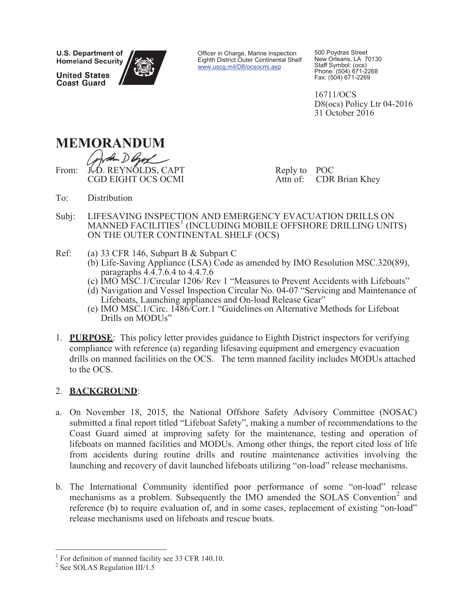**U.S. Department of Homeland Security** 

**United States Coast Guard** 



Officer in Charge, Marine Inspection Eighth District Outer Continental Shelf www.uscg.mil/D8/ocsocmi.asp

500 Poydras Street New Orleans, LA 70130 Staff Symbol: (ocs) Phone: (504) 671-2268 Fax: (504) 671-2269

16711/OCS D8(ocs) Policy Ltr 04-2016 31 October 2016



den Den From: JLD. REYNOLDS, CAPT CGD EIGHT OCS OCMI CGD EIGHT OCS OC

Reply to POC Attn of: CDR Brian Khey

- To: Distribution
- Subj: LIFESAVING INSPECTION AND EMERGENCY EVACUATION DRILLS ON MANNED FACILITIES<sup>1</sup> (INCLUDING MOBILE OFFSHORE DRILLING UNITS) ON THE OUTER CONTINENTAL SHELF (OCS)
- Ref: (a) 33 CFR 146, Subpart B & Subpart C
	- (b) Life-Saving Appliance (LSA) Code as amended by IMO Resolution MSC.320(89), paragraphs 4.4.7.6.4 to 4.4.7.6
	- (c) IMO MSC.1/Circular 1206/ Rev 1 "Measures to Prevent Accidents with Lifeboats"
	- (d) Navigation and Vessel Inspection Circular No. 04-07 "Servicing and Maintenance of Lifeboats, Launching appliances and On-load Release Gear"
	- (e) IMO MSC.1/Circ. 1486/Corr.1 "Guidelines on Alternative Methods for Lifeboat Drills on MODUs"
- 1. **PURPOSE**: This policy letter provides guidance to Eighth District inspectors for verifying compliance with reference (a) regarding lifesaving equipment and emergency evacuation drills on manned facilities on the OCS. The term manned facility includes MODUs attached to the OCS.

# 2. **BACKGROUND**:

- a. On November 18, 2015, the National Offshore Safety Advisory Committee (NOSAC) submitted a final report titled "Lifeboat Safety", making a number of recommendations to the Coast Guard aimed at improving safety for the maintenance, testing and operation of lifeboats on manned facilities and MODUs. Among other things, the report cited loss of life from accidents during routine drills and routine maintenance activities involving the launching and recovery of davit launched lifeboats utilizing "on-load" release mechanisms.
- b. The International Community identified poor performance of some "on-load" release mechanisms as a problem. Subsequently the IMO amended the SOLAS Convention<sup>2</sup> and reference (b) to require evaluation of, and in some cases, replacement of existing "on-load" release mechanisms used on lifeboats and rescue boats.

<sup>&</sup>lt;sup>1</sup> For definition of manned facility see 33 CFR 140.10.

<sup>2</sup> See SOLAS Regulation III/1.5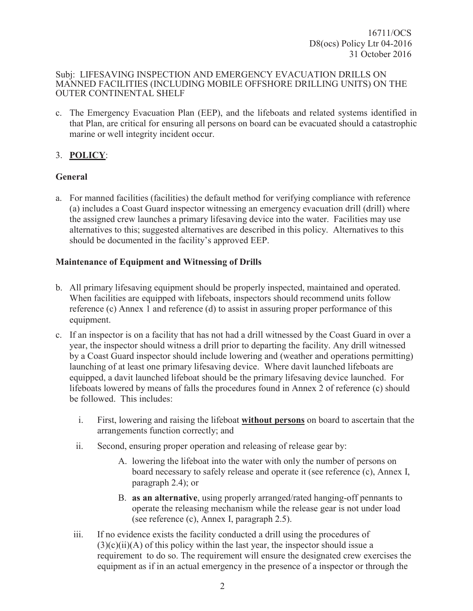c. The Emergency Evacuation Plan (EEP), and the lifeboats and related systems identified in that Plan, are critical for ensuring all persons on board can be evacuated should a catastrophic marine or well integrity incident occur.

# 3. **POLICY**:

### **General**

a. For manned facilities (facilities) the default method for verifying compliance with reference (a) includes a Coast Guard inspector witnessing an emergency evacuation drill (drill) where the assigned crew launches a primary lifesaving device into the water. Facilities may use alternatives to this; suggested alternatives are described in this policy. Alternatives to this should be documented in the facility's approved EEP.

### **Maintenance of Equipment and Witnessing of Drills**

- b. All primary lifesaving equipment should be properly inspected, maintained and operated. When facilities are equipped with lifeboats, inspectors should recommend units follow reference (c) Annex 1 and reference (d) to assist in assuring proper performance of this equipment.
- c. If an inspector is on a facility that has not had a drill witnessed by the Coast Guard in over a year, the inspector should witness a drill prior to departing the facility. Any drill witnessed by a Coast Guard inspector should include lowering and (weather and operations permitting) launching of at least one primary lifesaving device. Where davit launched lifeboats are equipped, a davit launched lifeboat should be the primary lifesaving device launched. For lifeboats lowered by means of falls the procedures found in Annex 2 of reference (c) should be followed. This includes:
	- i. First, lowering and raising the lifeboat **without persons** on board to ascertain that the arrangements function correctly; and
	- ii. Second, ensuring proper operation and releasing of release gear by:
		- A. lowering the lifeboat into the water with only the number of persons on board necessary to safely release and operate it (see reference (c), Annex I, paragraph 2.4); or
		- B. **as an alternative**, using properly arranged/rated hanging-off pennants to operate the releasing mechanism while the release gear is not under load (see reference (c), Annex I, paragraph 2.5).
	- iii. If no evidence exists the facility conducted a drill using the procedures of  $(3)(c)(ii)(A)$  of this policy within the last year, the inspector should issue a requirement to do so. The requirement will ensure the designated crew exercises the equipment as if in an actual emergency in the presence of a inspector or through the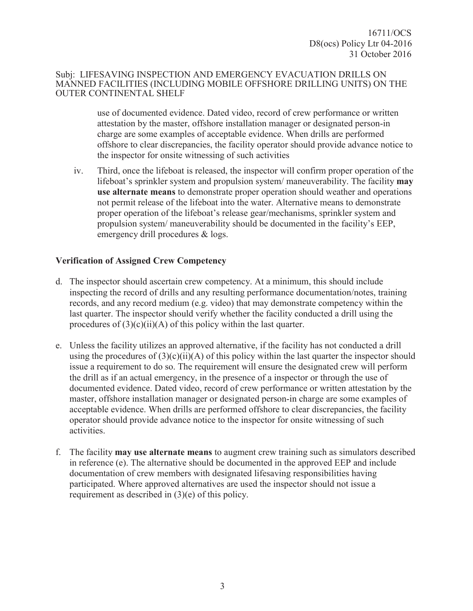use of documented evidence. Dated video, record of crew performance or written attestation by the master, offshore installation manager or designated person-in charge are some examples of acceptable evidence. When drills are performed offshore to clear discrepancies, the facility operator should provide advance notice to the inspector for onsite witnessing of such activities

iv. Third, once the lifeboat is released, the inspector will confirm proper operation of the lifeboat's sprinkler system and propulsion system/ maneuverability. The facility **may use alternate means** to demonstrate proper operation should weather and operations not permit release of the lifeboat into the water. Alternative means to demonstrate proper operation of the lifeboat's release gear/mechanisms, sprinkler system and propulsion system/ maneuverability should be documented in the facility's EEP, emergency drill procedures & logs.

### **Verification of Assigned Crew Competency**

- d. The inspector should ascertain crew competency. At a minimum, this should include inspecting the record of drills and any resulting performance documentation/notes, training records, and any record medium (e.g. video) that may demonstrate competency within the last quarter. The inspector should verify whether the facility conducted a drill using the procedures of  $(3)(c)(ii)(A)$  of this policy within the last quarter.
- e. Unless the facility utilizes an approved alternative, if the facility has not conducted a drill using the procedures of  $(3)(c)(ii)(A)$  of this policy within the last quarter the inspector should issue a requirement to do so. The requirement will ensure the designated crew will perform the drill as if an actual emergency, in the presence of a inspector or through the use of documented evidence. Dated video, record of crew performance or written attestation by the master, offshore installation manager or designated person-in charge are some examples of acceptable evidence. When drills are performed offshore to clear discrepancies, the facility operator should provide advance notice to the inspector for onsite witnessing of such activities.
- f. The facility **may use alternate means** to augment crew training such as simulators described in reference (e). The alternative should be documented in the approved EEP and include documentation of crew members with designated lifesaving responsibilities having participated. Where approved alternatives are used the inspector should not issue a requirement as described in (3)(e) of this policy.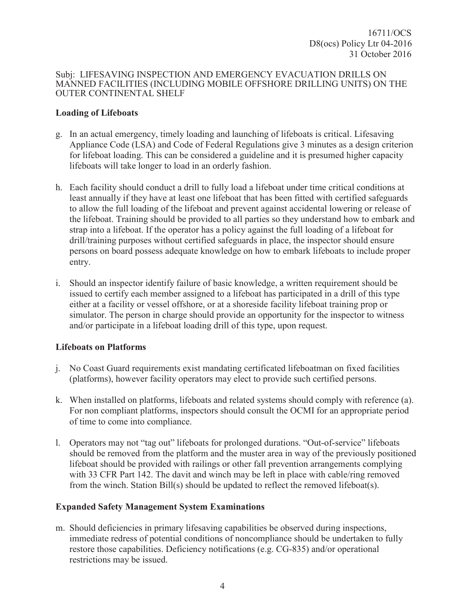### **Loading of Lifeboats**

- g. In an actual emergency, timely loading and launching of lifeboats is critical. Lifesaving Appliance Code (LSA) and Code of Federal Regulations give 3 minutes as a design criterion for lifeboat loading. This can be considered a guideline and it is presumed higher capacity lifeboats will take longer to load in an orderly fashion.
- h. Each facility should conduct a drill to fully load a lifeboat under time critical conditions at least annually if they have at least one lifeboat that has been fitted with certified safeguards to allow the full loading of the lifeboat and prevent against accidental lowering or release of the lifeboat. Training should be provided to all parties so they understand how to embark and strap into a lifeboat. If the operator has a policy against the full loading of a lifeboat for drill/training purposes without certified safeguards in place, the inspector should ensure persons on board possess adequate knowledge on how to embark lifeboats to include proper entry.
- i. Should an inspector identify failure of basic knowledge, a written requirement should be issued to certify each member assigned to a lifeboat has participated in a drill of this type either at a facility or vessel offshore, or at a shoreside facility lifeboat training prop or simulator. The person in charge should provide an opportunity for the inspector to witness and/or participate in a lifeboat loading drill of this type, upon request.

### **Lifeboats on Platforms**

- j. No Coast Guard requirements exist mandating certificated lifeboatman on fixed facilities (platforms), however facility operators may elect to provide such certified persons.
- k. When installed on platforms, lifeboats and related systems should comply with reference (a). For non compliant platforms, inspectors should consult the OCMI for an appropriate period of time to come into compliance.
- l. Operators may not "tag out" lifeboats for prolonged durations. "Out-of-service" lifeboats should be removed from the platform and the muster area in way of the previously positioned lifeboat should be provided with railings or other fall prevention arrangements complying with 33 CFR Part 142. The davit and winch may be left in place with cable/ring removed from the winch. Station Bill(s) should be updated to reflect the removed lifeboat(s).

# **Expanded Safety Management System Examinations**

m. Should deficiencies in primary lifesaving capabilities be observed during inspections, immediate redress of potential conditions of noncompliance should be undertaken to fully restore those capabilities. Deficiency notifications (e.g. CG-835) and/or operational restrictions may be issued.